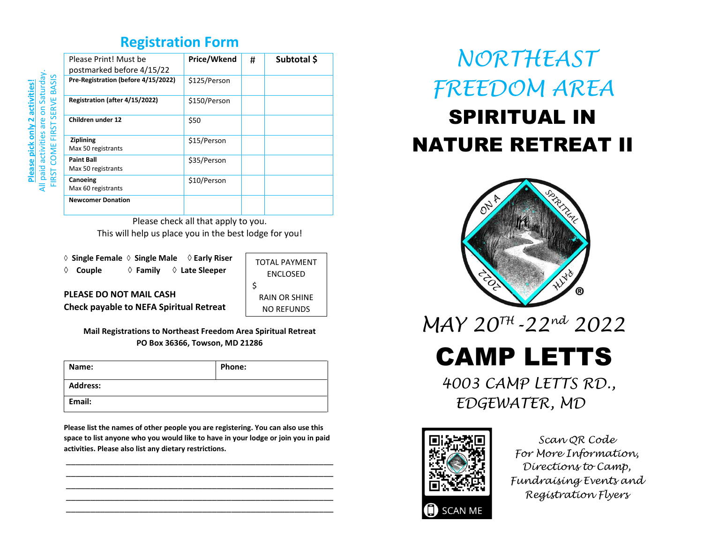#### **Registration Form**

| Please Print! Must be<br>postmarked before 4/15/22 | Price/Wkend  | # | Subtotal \$ |
|----------------------------------------------------|--------------|---|-------------|
| Pre-Registration (before 4/15/2022)                | \$125/Person |   |             |
| Registration (after 4/15/2022)                     | \$150/Person |   |             |
| Children under 12                                  | \$50         |   |             |
| Ziplining<br>Max 50 registrants                    | \$15/Person  |   |             |
| <b>Paint Ball</b><br>Max 50 registrants            | \$35/Person  |   |             |
| Canoeing<br>Max 60 registrants                     | \$10/Person  |   |             |
| <b>Newcomer Donation</b>                           |              |   |             |

Please check all that apply to you. This will help us place you in the best lodge for you!

 **Single Female Single Male Early Riser Couple Family Late Sleeper**

TOTAL PAYMENT ENCLOSED \$ RAIN OR SHINE NO REFUNDS

**Check payable to NEFA Spiritual Retreat**

**PLEASE DO NOT MAIL CASH**

**Mail Registrations to Northeast Freedom Area Spiritual Retreat PO Box 36366, Towson, MD 21286**

| Name:           | Phone: |
|-----------------|--------|
| <b>Address:</b> |        |
| Email:          |        |

**Please list the names of other people you are registering. You can also use this space to list anyone who you would like to have in your lodge or join you in paid activities. Please also list any dietary restrictions.**

\_\_\_\_\_\_\_\_\_\_\_\_\_\_\_\_\_\_\_\_\_\_\_\_\_\_\_\_\_\_\_\_\_\_\_\_\_\_\_\_\_\_\_\_\_\_\_\_\_\_\_\_\_\_\_ \_\_\_\_\_\_\_\_\_\_\_\_\_\_\_\_\_\_\_\_\_\_\_\_\_\_\_\_\_\_\_\_\_\_\_\_\_\_\_\_\_\_\_\_\_\_\_\_\_\_\_\_\_\_\_ \_\_\_\_\_\_\_\_\_\_\_\_\_\_\_\_\_\_\_\_\_\_\_\_\_\_\_\_\_\_\_\_\_\_\_\_\_\_\_\_\_\_\_\_\_\_\_\_\_\_\_\_\_\_\_ \_\_\_\_\_\_\_\_\_\_\_\_\_\_\_\_\_\_\_\_\_\_\_\_\_\_\_\_\_\_\_\_\_\_\_\_\_\_\_\_\_\_\_\_\_\_\_\_\_\_\_\_\_\_\_ \_\_\_\_\_\_\_\_\_\_\_\_\_\_\_\_\_\_\_\_\_\_\_\_\_\_\_\_\_\_\_\_\_\_\_\_\_\_\_\_\_\_\_\_\_\_\_\_\_\_\_\_\_\_\_

# *NORTHEAST FREEDOM AREA*

# SPIRITUAL IN NATURE RETREAT II



 *MAY 20TH -22nd 2022*

CAMP LETTS

 *4003 CAMP LETTS RD., EDGEWATER, MD*



*Scan QR Code For More Information, Directions to Camp, Fundraising Events and Registration Flyers*